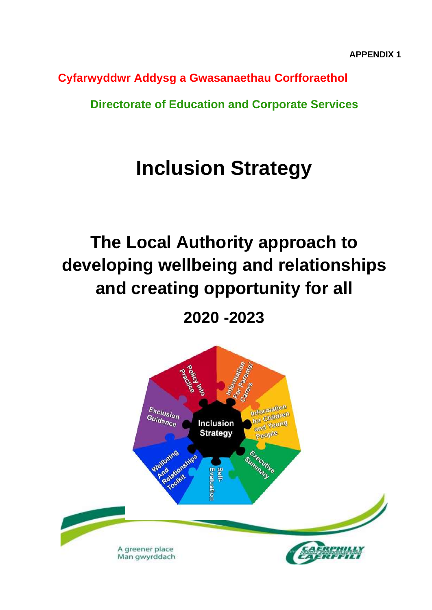**Cyfarwyddwr Addysg a Gwasanaethau Corfforaethol**

**Directorate of Education and Corporate Services**

# **Inclusion Strategy**

# **The Local Authority approach to developing wellbeing and relationships and creating opportunity for all**

**2020 -2023**

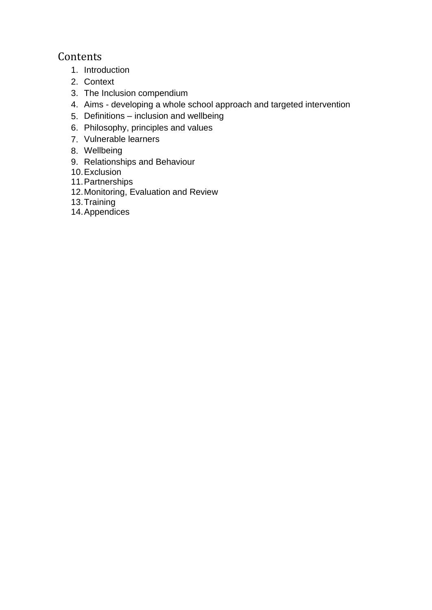# Contents

- 1. Introduction
- 2. Context
- 3. The Inclusion compendium
- 4. Aims developing a whole school approach and targeted intervention
- 5. Definitions inclusion and wellbeing
- 6. Philosophy, principles and values
- 7. Vulnerable learners
- 8. Wellbeing
- 9. Relationships and Behaviour
- 10.Exclusion
- 11.Partnerships
- 12.Monitoring, Evaluation and Review
- 13.Training
- 14.Appendices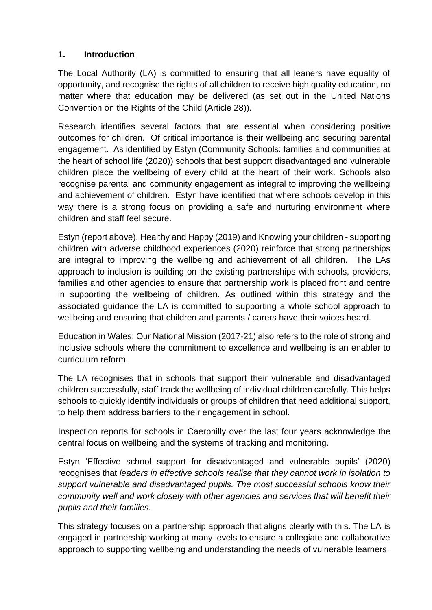## **1. Introduction**

The Local Authority (LA) is committed to ensuring that all leaners have equality of opportunity, and recognise the rights of all children to receive high quality education, no matter where that education may be delivered (as set out in the United Nations Convention on the Rights of the Child (Article 28)).

Research identifies several factors that are essential when considering positive outcomes for children. Of critical importance is their wellbeing and securing parental engagement. As identified by Estyn (Community Schools: families and communities at the heart of school life (2020)) schools that best support disadvantaged and vulnerable children place the wellbeing of every child at the heart of their work. Schools also recognise parental and community engagement as integral to improving the wellbeing and achievement of children. Estyn have identified that where schools develop in this way there is a strong focus on providing a safe and nurturing environment where children and staff feel secure.

Estyn (report above), Healthy and Happy (2019) and Knowing your children - supporting children with adverse childhood experiences (2020) reinforce that strong partnerships are integral to improving the wellbeing and achievement of all children. The LAs approach to inclusion is building on the existing partnerships with schools, providers, families and other agencies to ensure that partnership work is placed front and centre in supporting the wellbeing of children. As outlined within this strategy and the associated guidance the LA is committed to supporting a whole school approach to wellbeing and ensuring that children and parents / carers have their voices heard.

Education in Wales: Our National Mission (2017-21) also refers to the role of strong and inclusive schools where the commitment to excellence and wellbeing is an enabler to curriculum reform.

The LA recognises that in schools that support their vulnerable and disadvantaged children successfully, staff track the wellbeing of individual children carefully. This helps schools to quickly identify individuals or groups of children that need additional support, to help them address barriers to their engagement in school.

Inspection reports for schools in Caerphilly over the last four years acknowledge the central focus on wellbeing and the systems of tracking and monitoring.

Estyn 'Effective school support for disadvantaged and vulnerable pupils' (2020) recognises that *leaders in effective schools realise that they cannot work in isolation to support vulnerable and disadvantaged pupils. The most successful schools know their community well and work closely with other agencies and services that will benefit their pupils and their families.* 

This strategy focuses on a partnership approach that aligns clearly with this. The LA is engaged in partnership working at many levels to ensure a collegiate and collaborative approach to supporting wellbeing and understanding the needs of vulnerable learners.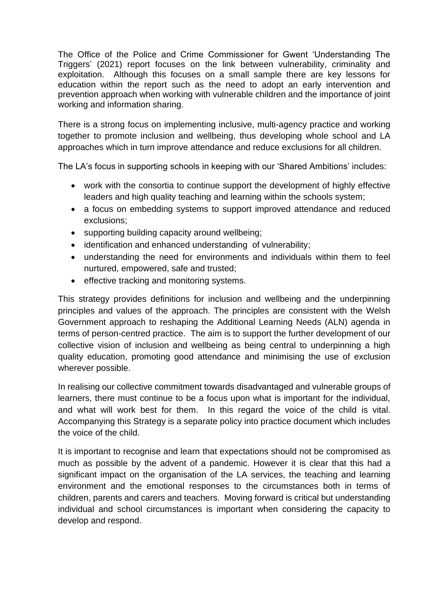The Office of the Police and Crime Commissioner for Gwent 'Understanding The Triggers' (2021) report focuses on the link between vulnerability, criminality and exploitation. Although this focuses on a small sample there are key lessons for education within the report such as the need to adopt an early intervention and prevention approach when working with vulnerable children and the importance of joint working and information sharing.

There is a strong focus on implementing inclusive, multi-agency practice and working together to promote inclusion and wellbeing, thus developing whole school and LA approaches which in turn improve attendance and reduce exclusions for all children.

The LA's focus in supporting schools in keeping with our 'Shared Ambitions' includes:

- work with the consortia to continue support the development of highly effective leaders and high quality teaching and learning within the schools system;
- a focus on embedding systems to support improved attendance and reduced exclusions;
- supporting building capacity around wellbeing;
- identification and enhanced understanding of vulnerability;
- understanding the need for environments and individuals within them to feel nurtured, empowered, safe and trusted;
- effective tracking and monitoring systems.

This strategy provides definitions for inclusion and wellbeing and the underpinning principles and values of the approach. The principles are consistent with the Welsh Government approach to reshaping the Additional Learning Needs (ALN) agenda in terms of person-centred practice. The aim is to support the further development of our collective vision of inclusion and wellbeing as being central to underpinning a high quality education, promoting good attendance and minimising the use of exclusion wherever possible.

In realising our collective commitment towards disadvantaged and vulnerable groups of learners, there must continue to be a focus upon what is important for the individual, and what will work best for them. In this regard the voice of the child is vital. Accompanying this Strategy is a separate policy into practice document which includes the voice of the child.

It is important to recognise and learn that expectations should not be compromised as much as possible by the advent of a pandemic. However it is clear that this had a significant impact on the organisation of the LA services, the teaching and learning environment and the emotional responses to the circumstances both in terms of children, parents and carers and teachers. Moving forward is critical but understanding individual and school circumstances is important when considering the capacity to develop and respond.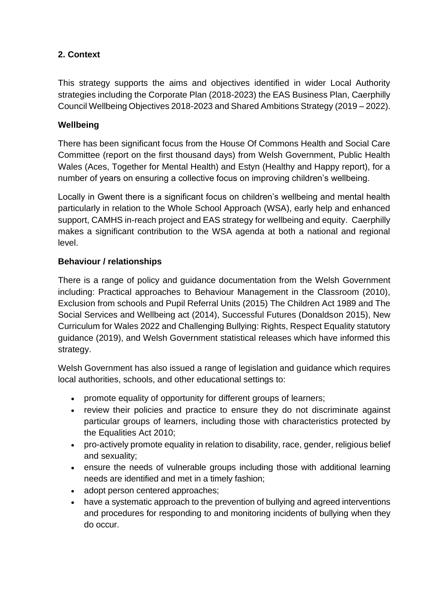# **2. Context**

This strategy supports the aims and objectives identified in wider Local Authority strategies including the Corporate Plan (2018-2023) the EAS Business Plan, Caerphilly Council Wellbeing Objectives 2018-2023 and Shared Ambitions Strategy (2019 – 2022).

## **Wellbeing**

There has been significant focus from the House Of Commons Health and Social Care Committee (report on the first thousand days) from Welsh Government, Public Health Wales (Aces, Together for Mental Health) and Estyn (Healthy and Happy report), for a number of years on ensuring a collective focus on improving children's wellbeing.

Locally in Gwent there is a significant focus on children's wellbeing and mental health particularly in relation to the Whole School Approach (WSA), early help and enhanced support, CAMHS in-reach project and EAS strategy for wellbeing and equity. Caerphilly makes a significant contribution to the WSA agenda at both a national and regional level.

#### **Behaviour / relationships**

There is a range of policy and guidance documentation from the Welsh Government including: Practical approaches to Behaviour Management in the Classroom (2010), Exclusion from schools and Pupil Referral Units (2015) The Children Act 1989 and The Social Services and Wellbeing act (2014), Successful Futures (Donaldson 2015), New Curriculum for Wales 2022 and Challenging Bullying: Rights, Respect Equality statutory guidance (2019), and Welsh Government statistical releases which have informed this strategy.

Welsh Government has also issued a range of legislation and guidance which requires local authorities, schools, and other educational settings to:

- promote equality of opportunity for different groups of learners;
- review their policies and practice to ensure they do not discriminate against particular groups of learners, including those with characteristics protected by the Equalities Act 2010;
- pro-actively promote equality in relation to disability, race, gender, religious belief and sexuality;
- ensure the needs of vulnerable groups including those with additional learning needs are identified and met in a timely fashion;
- adopt person centered approaches;
- have a systematic approach to the prevention of bullying and agreed interventions and procedures for responding to and monitoring incidents of bullying when they do occur.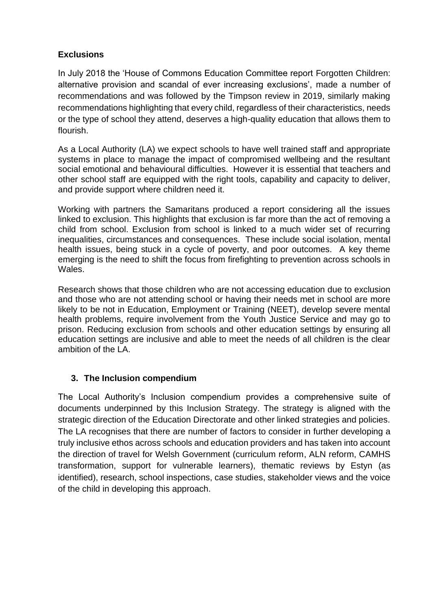## **Exclusions**

In July 2018 the 'House of Commons Education Committee report Forgotten Children: alternative provision and scandal of ever increasing exclusions', made a number of recommendations and was followed by the Timpson review in 2019, similarly making recommendations highlighting that every child, regardless of their characteristics, needs or the type of school they attend, deserves a high-quality education that allows them to flourish.

As a Local Authority (LA) we expect schools to have well trained staff and appropriate systems in place to manage the impact of compromised wellbeing and the resultant social emotional and behavioural difficulties. However it is essential that teachers and other school staff are equipped with the right tools, capability and capacity to deliver, and provide support where children need it.

Working with partners the Samaritans produced a report considering all the issues linked to exclusion. This highlights that exclusion is far more than the act of removing a child from school. Exclusion from school is linked to a much wider set of recurring inequalities, circumstances and consequences. These include social isolation, mental health issues, being stuck in a cycle of poverty, and poor outcomes. A key theme emerging is the need to shift the focus from firefighting to prevention across schools in Wales.

Research shows that those children who are not accessing education due to exclusion and those who are not attending school or having their needs met in school are more likely to be not in Education, Employment or Training (NEET), develop severe mental health problems, require involvement from the Youth Justice Service and may go to prison. Reducing exclusion from schools and other education settings by ensuring all education settings are inclusive and able to meet the needs of all children is the clear ambition of the LA.

#### **3. The Inclusion compendium**

The Local Authority's Inclusion compendium provides a comprehensive suite of documents underpinned by this Inclusion Strategy. The strategy is aligned with the strategic direction of the Education Directorate and other linked strategies and policies. The LA recognises that there are number of factors to consider in further developing a truly inclusive ethos across schools and education providers and has taken into account the direction of travel for Welsh Government (curriculum reform, ALN reform, CAMHS transformation, support for vulnerable learners), thematic reviews by Estyn (as identified), research, school inspections, case studies, stakeholder views and the voice of the child in developing this approach.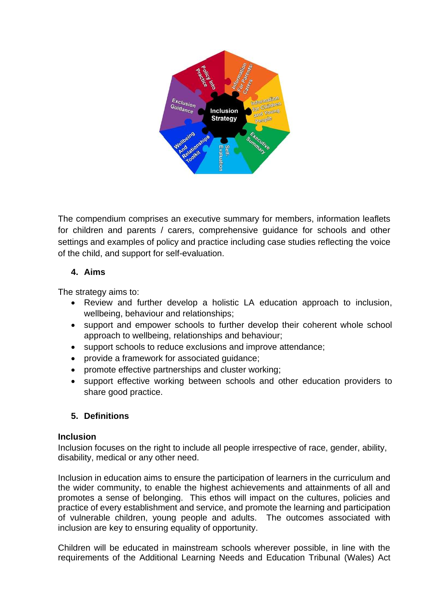

The compendium comprises an executive summary for members, information leaflets for children and parents / carers, comprehensive guidance for schools and other settings and examples of policy and practice including case studies reflecting the voice of the child, and support for self-evaluation.

#### **4. Aims**

The strategy aims to:

- Review and further develop a holistic LA education approach to inclusion, wellbeing, behaviour and relationships;
- support and empower schools to further develop their coherent whole school approach to wellbeing, relationships and behaviour;
- support schools to reduce exclusions and improve attendance;
- provide a framework for associated guidance;
- promote effective partnerships and cluster working;
- support effective working between schools and other education providers to share good practice.

#### **5. Definitions**

#### **Inclusion**

Inclusion focuses on the right to include all people irrespective of race, gender, ability, disability, medical or any other need.

Inclusion in education aims to ensure the participation of learners in the curriculum and the wider community, to enable the highest achievements and attainments of all and promotes a sense of belonging. This ethos will impact on the cultures, policies and practice of every establishment and service, and promote the learning and participation of vulnerable children, young people and adults. The outcomes associated with inclusion are key to ensuring equality of opportunity.

Children will be educated in mainstream schools wherever possible, in line with the requirements of the Additional Learning Needs and Education Tribunal (Wales) Act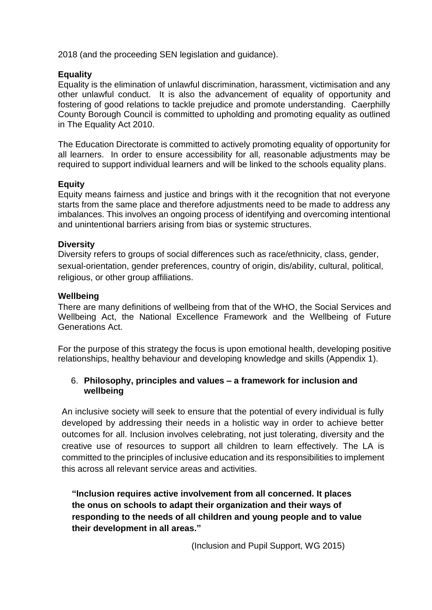2018 (and the proceeding SEN legislation and guidance).

#### **Equality**

Equality is the elimination of unlawful discrimination, harassment, victimisation and any other unlawful conduct. It is also the advancement of equality of opportunity and fostering of good relations to tackle prejudice and promote understanding. Caerphilly County Borough Council is committed to upholding and promoting equality as outlined in The Equality Act 2010.

The Education Directorate is committed to actively promoting equality of opportunity for all learners. In order to ensure accessibility for all, reasonable adjustments may be required to support individual learners and will be linked to the schools equality plans.

#### **Equity**

Equity means fairness and justice and brings with it the recognition that not everyone starts from the same place and therefore adjustments need to be made to address any imbalances. This involves an ongoing process of identifying and overcoming intentional and unintentional barriers arising from bias or systemic structures.

#### **Diversity**

Diversity refers to groups of social differences such as race/ethnicity, class, gender, sexual-orientation, gender preferences, country of origin, dis/ability, cultural, political, religious, or other group affiliations.

#### **Wellbeing**

There are many definitions of wellbeing from that of the WHO, the Social Services and Wellbeing Act, the National Excellence Framework and the Wellbeing of Future Generations Act.

For the purpose of this strategy the focus is upon emotional health, developing positive relationships, healthy behaviour and developing knowledge and skills (Appendix 1).

#### 6. **Philosophy, principles and values – a framework for inclusion and wellbeing**

An inclusive society will seek to ensure that the potential of every individual is fully developed by addressing their needs in a holistic way in order to achieve better outcomes for all. Inclusion involves celebrating, not just tolerating, diversity and the creative use of resources to support all children to learn effectively. The LA is committed to the principles of inclusive education and its responsibilities to implement this across all relevant service areas and activities.

**"Inclusion requires active involvement from all concerned. It places the onus on schools to adapt their organization and their ways of responding to the needs of all children and young people and to value their development in all areas."**

(Inclusion and Pupil Support, WG 2015)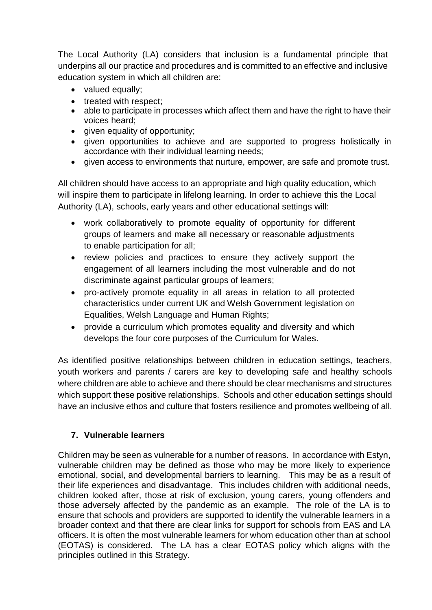The Local Authority (LA) considers that inclusion is a fundamental principle that underpins all our practice and procedures and is committed to an effective and inclusive education system in which all children are:

- valued equally;
- treated with respect;
- able to participate in processes which affect them and have the right to have their voices heard;
- given equality of opportunity;
- given opportunities to achieve and are supported to progress holistically in accordance with their individual learning needs;
- given access to environments that nurture, empower, are safe and promote trust.

All children should have access to an appropriate and high quality education, which will inspire them to participate in lifelong learning. In order to achieve this the Local Authority (LA), schools, early years and other educational settings will:

- work collaboratively to promote equality of opportunity for different groups of learners and make all necessary or reasonable adjustments to enable participation for all;
- review policies and practices to ensure they actively support the engagement of all learners including the most vulnerable and do not discriminate against particular groups of learners;
- pro-actively promote equality in all areas in relation to all protected characteristics under current UK and Welsh Government legislation on Equalities, Welsh Language and Human Rights;
- provide a curriculum which promotes equality and diversity and which develops the four core purposes of the Curriculum for Wales.

As identified positive relationships between children in education settings, teachers, youth workers and parents / carers are key to developing safe and healthy schools where children are able to achieve and there should be clear mechanisms and structures which support these positive relationships. Schools and other education settings should have an inclusive ethos and culture that fosters resilience and promotes wellbeing of all.

# **7. Vulnerable learners**

Children may be seen as vulnerable for a number of reasons. In accordance with Estyn, vulnerable children may be defined as those who may be more likely to experience emotional, social, and developmental barriers to learning. This may be as a result of their life experiences and disadvantage. This includes children with additional needs, children looked after, those at risk of exclusion, young carers, young offenders and those adversely affected by the pandemic as an example. The role of the LA is to ensure that schools and providers are supported to identify the vulnerable learners in a broader context and that there are clear links for support for schools from EAS and LA officers. It is often the most vulnerable learners for whom education other than at school (EOTAS) is considered. The LA has a clear EOTAS policy which aligns with the principles outlined in this Strategy.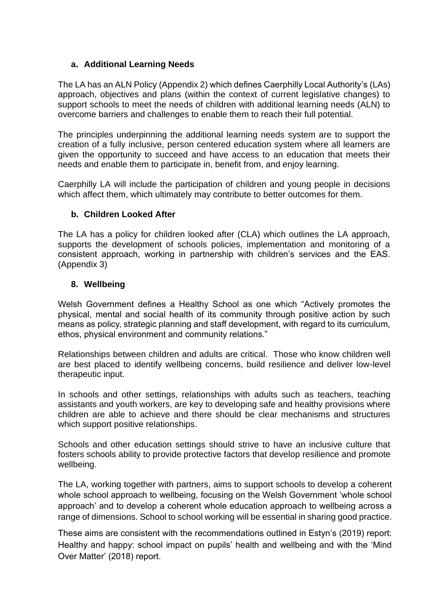#### **a. Additional Learning Needs**

The LA has an ALN Policy (Appendix 2) which defines Caerphilly Local Authority's (LAs) approach, objectives and plans (within the context of current legislative changes) to support schools to meet the needs of children with additional learning needs (ALN) to overcome barriers and challenges to enable them to reach their full potential.

The principles underpinning the additional learning needs system are to support the creation of a fully inclusive, person centered education system where all learners are given the opportunity to succeed and have access to an education that meets their needs and enable them to participate in, benefit from, and enjoy learning.

Caerphilly LA will include the participation of children and young people in decisions which affect them, which ultimately may contribute to better outcomes for them.

#### **b. Children Looked After**

The LA has a policy for children looked after (CLA) which outlines the LA approach, supports the development of schools policies, implementation and monitoring of a consistent approach, working in partnership with children's services and the EAS. (Appendix 3)

#### **8. Wellbeing**

Welsh Government defines a Healthy School as one which "Actively promotes the physical, mental and social health of its community through positive action by such means as policy, strategic planning and staff development, with regard to its curriculum, ethos, physical environment and community relations."

Relationships between children and adults are critical. Those who know children well are best placed to identify wellbeing concerns, build resilience and deliver low-level therapeutic input.

In schools and other settings, relationships with adults such as teachers, teaching assistants and youth workers, are key to developing safe and healthy provisions where children are able to achieve and there should be clear mechanisms and structures which support positive relationships.

Schools and other education settings should strive to have an inclusive culture that fosters schools ability to provide protective factors that develop resilience and promote wellbeing.

The LA, working together with partners, aims to support schools to develop a coherent whole school approach to wellbeing, focusing on the Welsh Government 'whole school approach' and to develop a coherent whole education approach to wellbeing across a range of dimensions. School to school working will be essential in sharing good practice.

These aims are consistent with the recommendations outlined in Estyn's (2019) report: Healthy and happy: school impact on pupils' health and wellbeing and with the 'Mind Over Matter' (2018) report.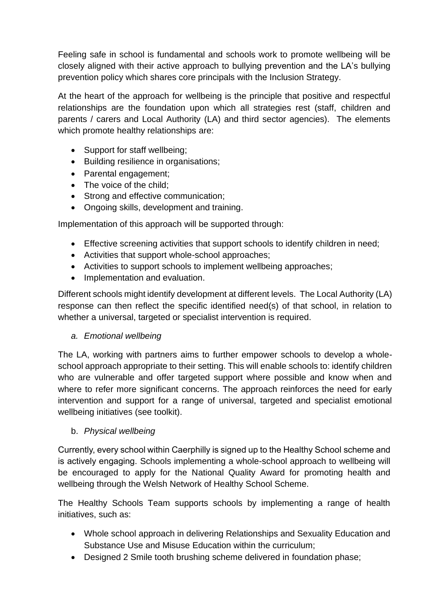Feeling safe in school is fundamental and schools work to promote wellbeing will be closely aligned with their active approach to bullying prevention and the LA's bullying prevention policy which shares core principals with the Inclusion Strategy.

At the heart of the approach for wellbeing is the principle that positive and respectful relationships are the foundation upon which all strategies rest (staff, children and parents / carers and Local Authority (LA) and third sector agencies). The elements which promote healthy relationships are:

- Support for staff wellbeing;
- Building resilience in organisations;
- Parental engagement;
- The voice of the child;
- Strong and effective communication;
- Ongoing skills, development and training.

Implementation of this approach will be supported through:

- Effective screening activities that support schools to identify children in need;
- Activities that support whole-school approaches;
- Activities to support schools to implement wellbeing approaches;
- Implementation and evaluation.

Different schools might identify development at different levels. The Local Authority (LA) response can then reflect the specific identified need(s) of that school, in relation to whether a universal, targeted or specialist intervention is required.

# *a. Emotional wellbeing*

The LA, working with partners aims to further empower schools to develop a wholeschool approach appropriate to their setting. This will enable schools to: identify children who are vulnerable and offer targeted support where possible and know when and where to refer more significant concerns. The approach reinforces the need for early intervention and support for a range of universal, targeted and specialist emotional wellbeing initiatives (see toolkit).

# b. *Physical wellbeing*

Currently, every school within Caerphilly is signed up to the Healthy School scheme and is actively engaging. Schools implementing a whole-school approach to wellbeing will be encouraged to apply for the National Quality Award for promoting health and wellbeing through the Welsh Network of Healthy School Scheme.

The Healthy Schools Team supports schools by implementing a range of health initiatives, such as:

- Whole school approach in delivering Relationships and Sexuality Education and Substance Use and Misuse Education within the curriculum;
- Designed 2 Smile tooth brushing scheme delivered in foundation phase;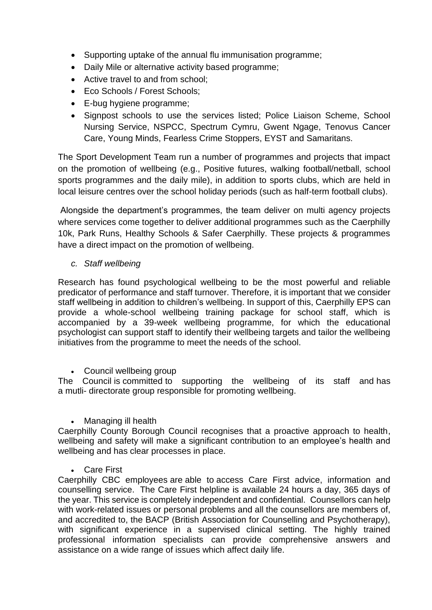- Supporting uptake of the annual flu immunisation programme;
- Daily Mile or alternative activity based programme;
- Active travel to and from school;
- Eco Schools / Forest Schools;
- E-bug hygiene programme;
- Signpost schools to use the services listed; Police Liaison Scheme, School Nursing Service, NSPCC, Spectrum Cymru, Gwent Ngage, Tenovus Cancer Care, Young Minds, Fearless Crime Stoppers, EYST and Samaritans.

The Sport Development Team run a number of programmes and projects that impact on the promotion of wellbeing (e.g., Positive futures, walking football/netball, school sports programmes and the daily mile), in addition to sports clubs, which are held in local leisure centres over the school holiday periods (such as half-term football clubs).

Alongside the department's programmes, the team deliver on multi agency projects where services come together to deliver additional programmes such as the Caerphilly 10k, Park Runs, Healthy Schools & Safer Caerphilly. These projects & programmes have a direct impact on the promotion of wellbeing.

#### *c. Staff wellbeing*

Research has found psychological wellbeing to be the most powerful and reliable predicator of performance and staff turnover. Therefore, it is important that we consider staff wellbeing in addition to children's wellbeing. In support of this, Caerphilly EPS can provide a whole-school wellbeing training package for school staff, which is accompanied by a 39-week wellbeing programme, for which the educational psychologist can support staff to identify their wellbeing targets and tailor the wellbeing initiatives from the programme to meet the needs of the school.

• Council wellbeing group

The Council is committed to supporting the wellbeing of its staff and has a mutli- directorate group responsible for promoting wellbeing.

• Managing ill health

Caerphilly County Borough Council recognises that a proactive approach to health, wellbeing and safety will make a significant contribution to an employee's health and wellbeing and has clear processes in place.

Care First

Caerphilly CBC employees are able to access Care First advice, information and counselling service. The Care First helpline is available 24 hours a day, 365 days of the year. This service is completely independent and confidential. Counsellors can help with work-related issues or personal problems and all the counsellors are members of, and accredited to, the BACP (British Association for Counselling and Psychotherapy), with significant experience in a supervised clinical setting. The highly trained professional information specialists can provide comprehensive answers and assistance on a wide range of issues which affect daily life.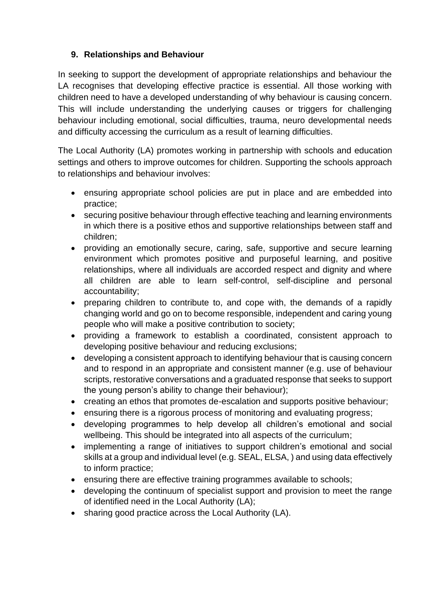# **9. Relationships and Behaviour**

In seeking to support the development of appropriate relationships and behaviour the LA recognises that developing effective practice is essential. All those working with children need to have a developed understanding of why behaviour is causing concern. This will include understanding the underlying causes or triggers for challenging behaviour including emotional, social difficulties, trauma, neuro developmental needs and difficulty accessing the curriculum as a result of learning difficulties.

The Local Authority (LA) promotes working in partnership with schools and education settings and others to improve outcomes for children. Supporting the schools approach to relationships and behaviour involves:

- ensuring appropriate school policies are put in place and are embedded into practice;
- securing positive behaviour through effective teaching and learning environments in which there is a positive ethos and supportive relationships between staff and children;
- providing an emotionally secure, caring, safe, supportive and secure learning environment which promotes positive and purposeful learning, and positive relationships, where all individuals are accorded respect and dignity and where all children are able to learn self-control, self-discipline and personal accountability;
- preparing children to contribute to, and cope with, the demands of a rapidly changing world and go on to become responsible, independent and caring young people who will make a positive contribution to society;
- providing a framework to establish a coordinated, consistent approach to developing positive behaviour and reducing exclusions;
- developing a consistent approach to identifying behaviour that is causing concern and to respond in an appropriate and consistent manner (e.g. use of behaviour scripts, restorative conversations and a graduated response that seeks to support the young person's ability to change their behaviour);
- creating an ethos that promotes de-escalation and supports positive behaviour;
- ensuring there is a rigorous process of monitoring and evaluating progress;
- developing programmes to help develop all children's emotional and social wellbeing. This should be integrated into all aspects of the curriculum;
- implementing a range of initiatives to support children's emotional and social skills at a group and individual level (e.g. SEAL, ELSA, ) and using data effectively to inform practice;
- ensuring there are effective training programmes available to schools;
- developing the continuum of specialist support and provision to meet the range of identified need in the Local Authority (LA);
- sharing good practice across the Local Authority (LA).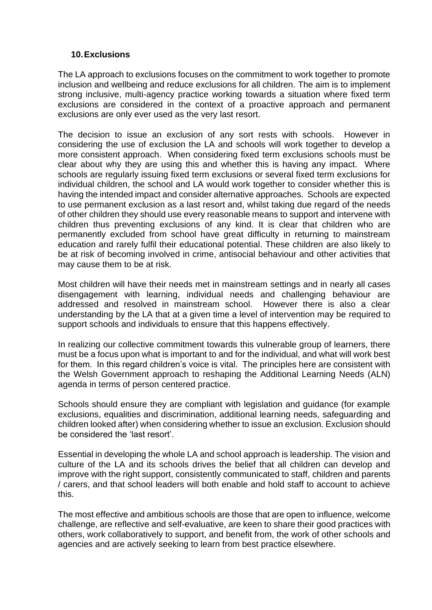#### **10.Exclusions**

The LA approach to exclusions focuses on the commitment to work together to promote inclusion and wellbeing and reduce exclusions for all children. The aim is to implement strong inclusive, multi-agency practice working towards a situation where fixed term exclusions are considered in the context of a proactive approach and permanent exclusions are only ever used as the very last resort.

The decision to issue an exclusion of any sort rests with schools. However in considering the use of exclusion the LA and schools will work together to develop a more consistent approach. When considering fixed term exclusions schools must be clear about why they are using this and whether this is having any impact. Where schools are regularly issuing fixed term exclusions or several fixed term exclusions for individual children, the school and LA would work together to consider whether this is having the intended impact and consider alternative approaches. Schools are expected to use permanent exclusion as a last resort and, whilst taking due regard of the needs of other children they should use every reasonable means to support and intervene with children thus preventing exclusions of any kind. It is clear that children who are permanently excluded from school have great difficulty in returning to mainstream education and rarely fulfil their educational potential. These children are also likely to be at risk of becoming involved in crime, antisocial behaviour and other activities that may cause them to be at risk.

Most children will have their needs met in mainstream settings and in nearly all cases disengagement with learning, individual needs and challenging behaviour are addressed and resolved in mainstream school. However there is also a clear understanding by the LA that at a given time a level of intervention may be required to support schools and individuals to ensure that this happens effectively.

In realizing our collective commitment towards this vulnerable group of learners, there must be a focus upon what is important to and for the individual, and what will work best for them. In this regard children's voice is vital. The principles here are consistent with the Welsh Government approach to reshaping the Additional Learning Needs (ALN) agenda in terms of person centered practice.

Schools should ensure they are compliant with legislation and guidance (for example exclusions, equalities and discrimination, additional learning needs, safeguarding and children looked after) when considering whether to issue an exclusion. Exclusion should be considered the 'last resort'.

Essential in developing the whole LA and school approach is leadership. The vision and culture of the LA and its schools drives the belief that all children can develop and improve with the right support, consistently communicated to staff, children and parents / carers, and that school leaders will both enable and hold staff to account to achieve this.

The most effective and ambitious schools are those that are open to influence, welcome challenge, are reflective and self-evaluative, are keen to share their good practices with others, work collaboratively to support, and benefit from, the work of other schools and agencies and are actively seeking to learn from best practice elsewhere.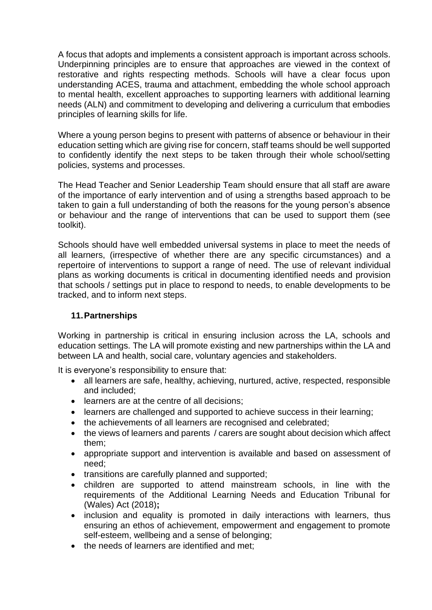A focus that adopts and implements a consistent approach is important across schools. Underpinning principles are to ensure that approaches are viewed in the context of restorative and rights respecting methods. Schools will have a clear focus upon understanding ACES, trauma and attachment, embedding the whole school approach to mental health, excellent approaches to supporting learners with additional learning needs (ALN) and commitment to developing and delivering a curriculum that embodies principles of learning skills for life.

Where a young person begins to present with patterns of absence or behaviour in their education setting which are giving rise for concern, staff teams should be well supported to confidently identify the next steps to be taken through their whole school/setting policies, systems and processes.

The Head Teacher and Senior Leadership Team should ensure that all staff are aware of the importance of early intervention and of using a strengths based approach to be taken to gain a full understanding of both the reasons for the young person's absence or behaviour and the range of interventions that can be used to support them (see toolkit).

Schools should have well embedded universal systems in place to meet the needs of all learners, (irrespective of whether there are any specific circumstances) and a repertoire of interventions to support a range of need. The use of relevant individual plans as working documents is critical in documenting identified needs and provision that schools / settings put in place to respond to needs, to enable developments to be tracked, and to inform next steps.

#### **11.Partnerships**

Working in partnership is critical in ensuring inclusion across the LA, schools and education settings. The LA will promote existing and new partnerships within the LA and between LA and health, social care, voluntary agencies and stakeholders.

It is everyone's responsibility to ensure that:

- all learners are safe, healthy, achieving, nurtured, active, respected, responsible and included;
- learners are at the centre of all decisions;
- learners are challenged and supported to achieve success in their learning;
- the achievements of all learners are recognised and celebrated;
- the views of learners and parents / carers are sought about decision which affect them;
- appropriate support and intervention is available and based on assessment of need;
- transitions are carefully planned and supported;
- children are supported to attend mainstream schools, in line with the requirements of the Additional Learning Needs and Education Tribunal for (Wales) Act (2018)**;**
- inclusion and equality is promoted in daily interactions with learners, thus ensuring an ethos of achievement, empowerment and engagement to promote self-esteem, wellbeing and a sense of belonging;
- the needs of learners are identified and met: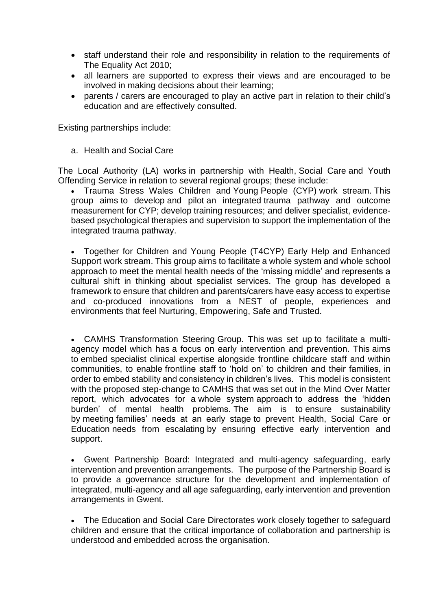- staff understand their role and responsibility in relation to the requirements of The Equality Act 2010;
- all learners are supported to express their views and are encouraged to be involved in making decisions about their learning;
- parents / carers are encouraged to play an active part in relation to their child's education and are effectively consulted.

Existing partnerships include:

a. Health and Social Care

The Local Authority (LA) works in partnership with Health, Social Care and Youth Offending Service in relation to several regional groups; these include:

• Trauma Stress Wales Children and Young People (CYP) work stream. This group aims to develop and pilot an integrated trauma pathway and outcome measurement for CYP; develop training resources; and deliver specialist, evidencebased psychological therapies and supervision to support the implementation of the integrated trauma pathway.

• Together for Children and Young People (T4CYP) Early Help and Enhanced Support work stream. This group aims to facilitate a whole system and whole school approach to meet the mental health needs of the 'missing middle' and represents a cultural shift in thinking about specialist services. The group has developed a framework to ensure that children and parents/carers have easy access to expertise and co-produced innovations from a NEST of people, experiences and environments that feel Nurturing, Empowering, Safe and Trusted.

• CAMHS Transformation Steering Group. This was set up to facilitate a multiagency model which has a focus on early intervention and prevention. This aims to embed specialist clinical expertise alongside frontline childcare staff and within communities, to enable frontline staff to 'hold on' to children and their families, in order to embed stability and consistency in children's lives. This model is consistent with the proposed step-change to CAMHS that was set out in the Mind Over Matter report, which advocates for a whole system approach to address the 'hidden burden' of mental health problems. The aim is to ensure sustainability by meeting families' needs at an early stage to prevent Health, Social Care or Education needs from escalating by ensuring effective early intervention and support.

• Gwent Partnership Board: Integrated and multi-agency safeguarding, early intervention and prevention arrangements. The purpose of the Partnership Board is to provide a governance structure for the development and implementation of integrated, multi-agency and all age safeguarding, early intervention and prevention arrangements in Gwent.

• The Education and Social Care Directorates work closely together to safeguard children and ensure that the critical importance of collaboration and partnership is understood and embedded across the organisation.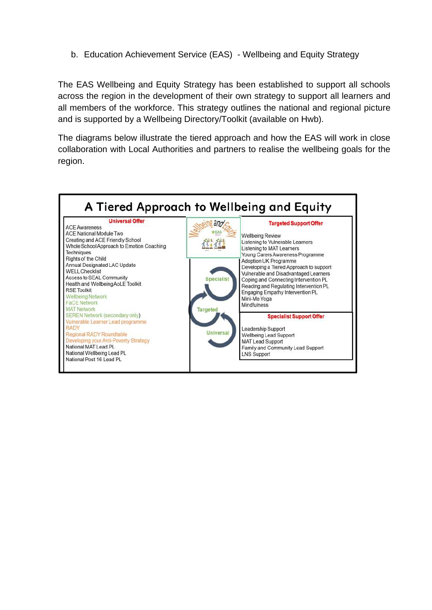b. Education Achievement Service (EAS) - Wellbeing and Equity Strategy

The EAS Wellbeing and Equity Strategy has been established to support all schools across the region in the development of their own strategy to support all learners and all members of the workforce. This strategy outlines the national and regional picture and is supported by a Wellbeing Directory/Toolkit (available on Hwb).

The diagrams below illustrate the tiered approach and how the EAS will work in close collaboration with Local Authorities and partners to realise the wellbeing goals for the region.

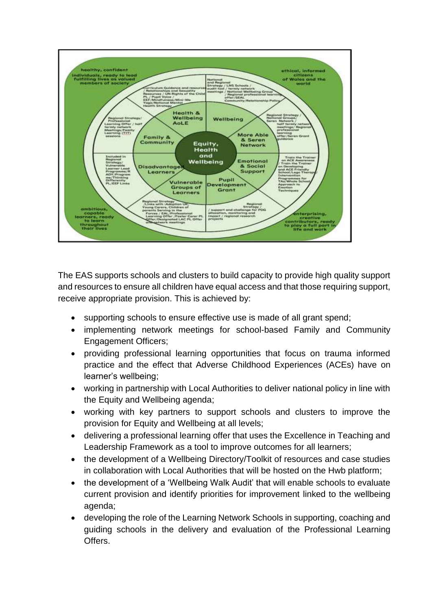

The EAS supports schools and clusters to build capacity to provide high quality support and resources to ensure all children have equal access and that those requiring support, receive appropriate provision. This is achieved by:

- supporting schools to ensure effective use is made of all grant spend;
- implementing network meetings for school-based Family and Community Engagement Officers;
- providing professional learning opportunities that focus on trauma informed practice and the effect that Adverse Childhood Experiences (ACEs) have on learner's wellbeing;
- working in partnership with Local Authorities to deliver national policy in line with the Equity and Wellbeing agenda;
- working with key partners to support schools and clusters to improve the provision for Equity and Wellbeing at all levels;
- delivering a professional learning offer that uses the Excellence in Teaching and Leadership Framework as a tool to improve outcomes for all learners;
- the development of a Wellbeing Directory/Toolkit of resources and case studies in collaboration with Local Authorities that will be hosted on the Hwb platform;
- the development of a 'Wellbeing Walk Audit' that will enable schools to evaluate current provision and identify priorities for improvement linked to the wellbeing agenda;
- developing the role of the Learning Network Schools in supporting, coaching and guiding schools in the delivery and evaluation of the Professional Learning Offers.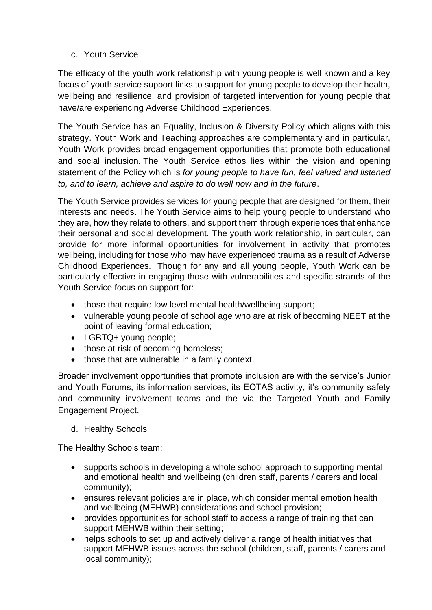c. Youth Service

The efficacy of the youth work relationship with young people is well known and a key focus of youth service support links to support for young people to develop their health, wellbeing and resilience, and provision of targeted intervention for young people that have/are experiencing Adverse Childhood Experiences.

The Youth Service has an Equality, Inclusion & Diversity Policy which aligns with this strategy. Youth Work and Teaching approaches are complementary and in particular, Youth Work provides broad engagement opportunities that promote both educational and social inclusion. The Youth Service ethos lies within the vision and opening statement of the Policy which is *for young people to have fun, feel valued and listened to, and to learn, achieve and aspire to do well now and in the future*.

The Youth Service provides services for young people that are designed for them, their interests and needs. The Youth Service aims to help young people to understand who they are, how they relate to others, and support them through experiences that enhance their personal and social development. The youth work relationship, in particular, can provide for more informal opportunities for involvement in activity that promotes wellbeing, including for those who may have experienced trauma as a result of Adverse Childhood Experiences. Though for any and all young people, Youth Work can be particularly effective in engaging those with vulnerabilities and specific strands of the Youth Service focus on support for:

- those that require low level mental health/wellbeing support;
- vulnerable young people of school age who are at risk of becoming NEET at the point of leaving formal education;
- LGBTQ+ young people;
- those at risk of becoming homeless;
- those that are vulnerable in a family context.

Broader involvement opportunities that promote inclusion are with the service's Junior and Youth Forums, its information services, its EOTAS activity, it's community safety and community involvement teams and the via the Targeted Youth and Family Engagement Project.

d. Healthy Schools

The Healthy Schools team:

- supports schools in developing a whole school approach to supporting mental and emotional health and wellbeing (children staff, parents / carers and local community);
- ensures relevant policies are in place, which consider mental emotion health and wellbeing (MEHWB) considerations and school provision;
- provides opportunities for school staff to access a range of training that can support MEHWB within their setting;
- helps schools to set up and actively deliver a range of health initiatives that support MEHWB issues across the school (children, staff, parents / carers and local community);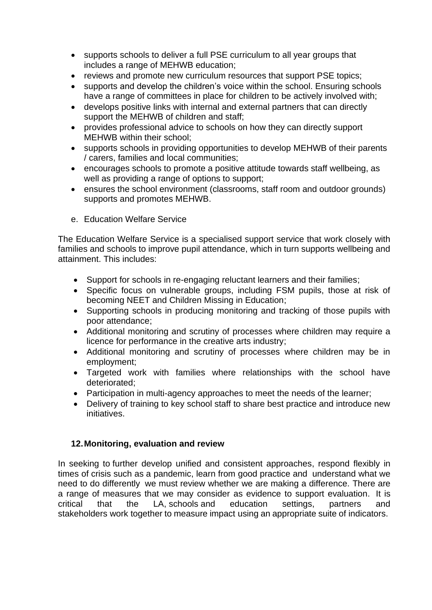- supports schools to deliver a full PSE curriculum to all year groups that includes a range of MEHWB education;
- reviews and promote new curriculum resources that support PSE topics;
- supports and develop the children's voice within the school. Ensuring schools have a range of committees in place for children to be actively involved with;
- develops positive links with internal and external partners that can directly support the MEHWB of children and staff;
- provides professional advice to schools on how they can directly support MEHWB within their school;
- supports schools in providing opportunities to develop MEHWB of their parents / carers, families and local communities;
- encourages schools to promote a positive attitude towards staff wellbeing, as well as providing a range of options to support;
- ensures the school environment (classrooms, staff room and outdoor grounds) supports and promotes MEHWB.
- e. Education Welfare Service

The Education Welfare Service is a specialised support service that work closely with families and schools to improve pupil attendance, which in turn supports wellbeing and attainment. This includes:

- Support for schools in re-engaging reluctant learners and their families;
- Specific focus on vulnerable groups, including FSM pupils, those at risk of becoming NEET and Children Missing in Education;
- Supporting schools in producing monitoring and tracking of those pupils with poor attendance;
- Additional monitoring and scrutiny of processes where children may require a licence for performance in the creative arts industry;
- Additional monitoring and scrutiny of processes where children may be in employment;
- Targeted work with families where relationships with the school have deteriorated;
- Participation in multi-agency approaches to meet the needs of the learner;
- Delivery of training to key school staff to share best practice and introduce new initiatives.

#### **12.Monitoring, evaluation and review**

In seeking to further develop unified and consistent approaches, respond flexibly in times of crisis such as a pandemic, learn from good practice and understand what we need to do differently we must review whether we are making a difference. There are a range of measures that we may consider as evidence to support evaluation. It is critical that the LA, schools and education settings, partners and stakeholders work together to measure impact using an appropriate suite of indicators.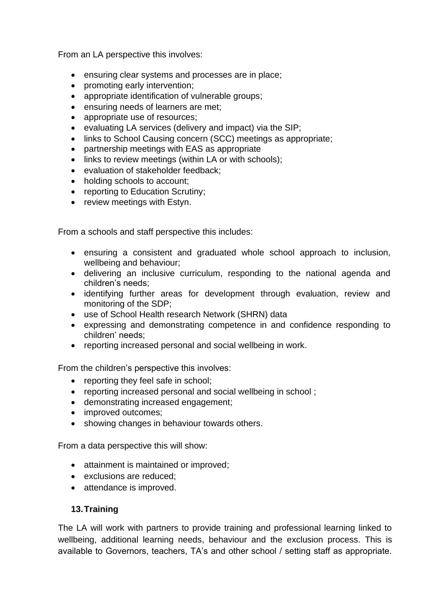From an LA perspective this involves:

- ensuring clear systems and processes are in place;
- promoting early intervention;
- appropriate identification of vulnerable groups;
- ensuring needs of learners are met;
- appropriate use of resources;
- evaluating LA services (delivery and impact) via the SIP;
- links to School Causing concern (SCC) meetings as appropriate;
- partnership meetings with EAS as appropriate
- links to review meetings (within LA or with schools);
- evaluation of stakeholder feedback;
- holding schools to account;
- reporting to Education Scrutiny;
- review meetings with Estyn.

From a schools and staff perspective this includes:

- ensuring a consistent and graduated whole school approach to inclusion, wellbeing and behaviour;
- delivering an inclusive curriculum, responding to the national agenda and children's needs;
- identifying further areas for development through evaluation, review and monitoring of the SDP;
- use of School Health research Network (SHRN) data
- expressing and demonstrating competence in and confidence responding to children' needs;
- reporting increased personal and social wellbeing in work.

From the children's perspective this involves:

- reporting they feel safe in school;
- reporting increased personal and social wellbeing in school ;
- demonstrating increased engagement;
- improved outcomes;
- showing changes in behaviour towards others.

From a data perspective this will show:

- attainment is maintained or improved;
- exclusions are reduced;
- attendance is improved.

#### **13.Training**

The LA will work with partners to provide training and professional learning linked to wellbeing, additional learning needs, behaviour and the exclusion process. This is available to Governors, teachers, TA's and other school / setting staff as appropriate.